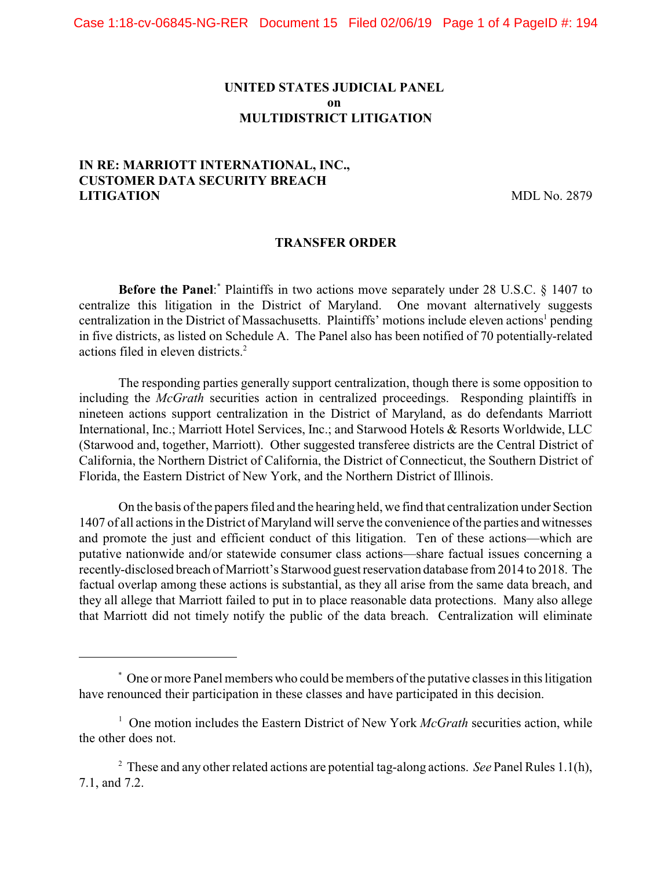### **UNITED STATES JUDICIAL PANEL on MULTIDISTRICT LITIGATION**

## **IN RE: MARRIOTT INTERNATIONAL, INC., CUSTOMER DATA SECURITY BREACH LITIGATION** MDL No. 2879

#### **TRANSFER ORDER**

**Before the Panel:** Plaintiffs in two actions move separately under 28 U.S.C. § 1407 to centralize this litigation in the District of Maryland. One movant alternatively suggests centralization in the District of Massachusetts. Plaintiffs' motions include eleven actions<sup>1</sup> pending in five districts, as listed on Schedule A. The Panel also has been notified of 70 potentially-related actions filed in eleven districts. <sup>2</sup>

The responding parties generally support centralization, though there is some opposition to including the *McGrath* securities action in centralized proceedings. Responding plaintiffs in nineteen actions support centralization in the District of Maryland, as do defendants Marriott International, Inc.; Marriott Hotel Services, Inc.; and Starwood Hotels & Resorts Worldwide, LLC (Starwood and, together, Marriott). Other suggested transferee districts are the Central District of California, the Northern District of California, the District of Connecticut, the Southern District of Florida, the Eastern District of New York, and the Northern District of Illinois.

On the basis of the papers filed and the hearing held, we find that centralization under Section 1407 of all actions in the District of Maryland will serve the convenience of the parties and witnesses and promote the just and efficient conduct of this litigation. Ten of these actions—which are putative nationwide and/or statewide consumer class actions—share factual issues concerning a recently-disclosed breach of Marriott's Starwood guest reservation database from 2014 to 2018. The factual overlap among these actions is substantial, as they all arise from the same data breach, and they all allege that Marriott failed to put in to place reasonable data protections. Many also allege that Marriott did not timely notify the public of the data breach. Centralization will eliminate

One or more Panel members who could be members of the putative classes in this litigation \* have renounced their participation in these classes and have participated in this decision.

<sup>&</sup>lt;sup>1</sup> One motion includes the Eastern District of New York *McGrath* securities action, while the other does not.

These and any other related actions are potential tag-along actions. *See* Panel Rules 1.1(h), <sup>2</sup> 7.1, and 7.2.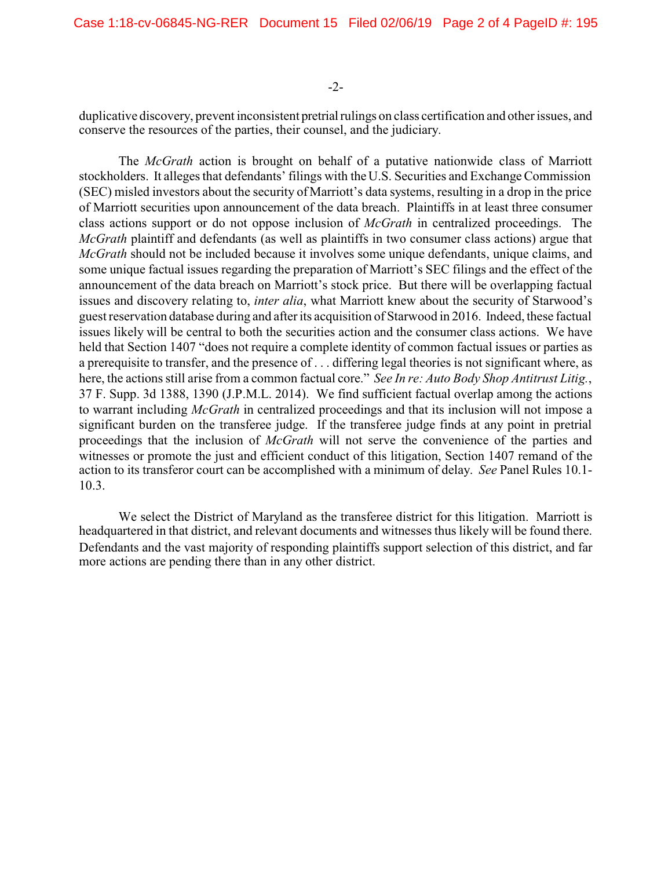#### -2-

duplicative discovery, prevent inconsistent pretrial rulings on class certification and other issues, and conserve the resources of the parties, their counsel, and the judiciary.

The *McGrath* action is brought on behalf of a putative nationwide class of Marriott stockholders. It alleges that defendants' filings with the U.S. Securities and Exchange Commission (SEC) misled investors about the security ofMarriott's data systems, resulting in a drop in the price of Marriott securities upon announcement of the data breach. Plaintiffs in at least three consumer class actions support or do not oppose inclusion of *McGrath* in centralized proceedings. The *McGrath* plaintiff and defendants (as well as plaintiffs in two consumer class actions) argue that *McGrath* should not be included because it involves some unique defendants, unique claims, and some unique factual issues regarding the preparation of Marriott's SEC filings and the effect of the announcement of the data breach on Marriott's stock price. But there will be overlapping factual issues and discovery relating to, *inter alia*, what Marriott knew about the security of Starwood's guestreservation database during and afterits acquisition of Starwood in 2016. Indeed, these factual issues likely will be central to both the securities action and the consumer class actions. We have held that Section 1407 "does not require a complete identity of common factual issues or parties as a prerequisite to transfer, and the presence of . . . differing legal theories is not significant where, as here, the actions still arise from a common factual core." *See In re: Auto Body Shop Antitrust Litig.*, 37 F. Supp. 3d 1388, 1390 (J.P.M.L. 2014). We find sufficient factual overlap among the actions to warrant including *McGrath* in centralized proceedings and that its inclusion will not impose a significant burden on the transferee judge. If the transferee judge finds at any point in pretrial proceedings that the inclusion of *McGrath* will not serve the convenience of the parties and witnesses or promote the just and efficient conduct of this litigation, Section 1407 remand of the action to its transferor court can be accomplished with a minimum of delay. *See* Panel Rules 10.1- 10.3.

We select the District of Maryland as the transferee district for this litigation. Marriott is headquartered in that district, and relevant documents and witnesses thus likely will be found there. Defendants and the vast majority of responding plaintiffs support selection of this district, and far more actions are pending there than in any other district.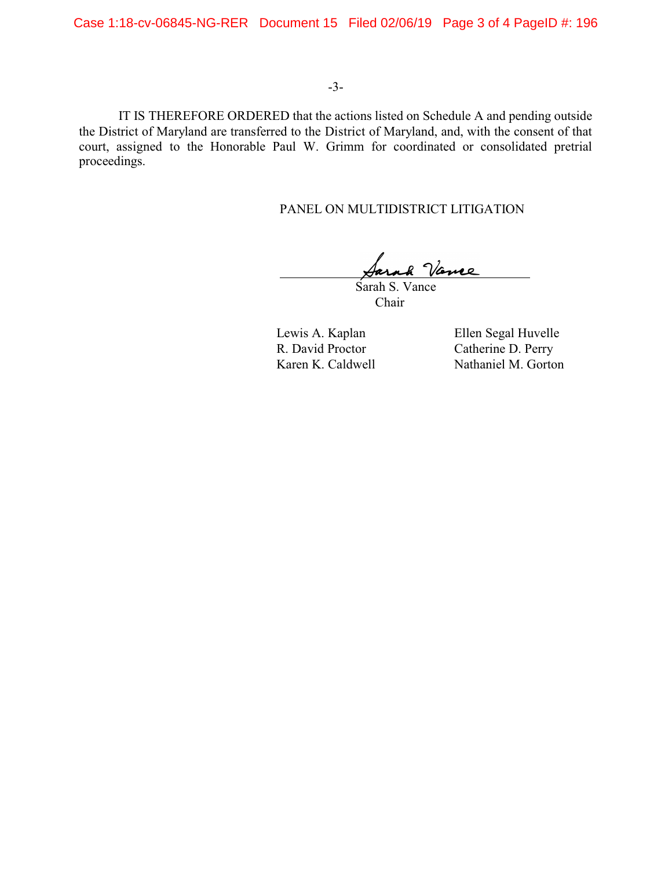Case 1:18-cv-06845-NG-RER Document 15 Filed 02/06/19 Page 3 of 4 PageID #: 196

### -3-

IT IS THEREFORE ORDERED that the actions listed on Schedule A and pending outside the District of Maryland are transferred to the District of Maryland, and, with the consent of that court, assigned to the Honorable Paul W. Grimm for coordinated or consolidated pretrial proceedings.

#### PANEL ON MULTIDISTRICT LITIGATION

Vance Sarah S. Vance

Chair

Lewis A. Kaplan Ellen Segal Huvelle<br>
R. David Proctor Catherine D. Perry Catherine D. Perry Karen K. Caldwell Nathaniel M. Gorton